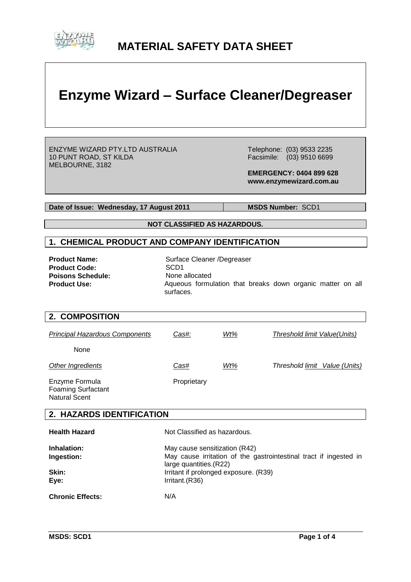

## **MATERIAL SAFETY DATA SHEET**

# **Enzyme Wizard – Surface Cleaner/Degreaser**

ENZYME WIZARD PTY.LTD AUSTRALIA 10 PUNT ROAD, ST KILDA MELBOURNE, 3182

 Telephone: (03) 9533 2235 Facsimile: (03) 9510 6699

 **EMERGENCY: 0404 899 628 www.enzymewizard.com.au**

Date of Issue: Wednesday, 17 August 2011 MSDS Number: SCD1

**NOT CLASSIFIED AS HAZARDOUS.**

#### **1. CHEMICAL PRODUCT AND COMPANY IDENTIFICATION**

Product Code:<br> **Poisons Schedule:**<br> **Poisons Schedule:**<br> **SCD1**<br>
None allocated **Poisons Schedule:<br>Product Use:** 

**Product Name:** Surface Cleaner /Degreaser Aqueous formulation that breaks down organic matter on all surfaces.

#### **2. COMPOSITION**

| <b>Principal Hazardous Components</b>       | Cas#:       | Wt% | Threshold limit Value(Units)  |
|---------------------------------------------|-------------|-----|-------------------------------|
| None                                        |             |     |                               |
| Other Ingredients                           | Cas#        | Wt% | Threshold limit Value (Units) |
| Enzyme Formula<br><b>Foaming Surfactant</b> | Proprietary |     |                               |

### **2. HAZARDS IDENTIFICATION**

| <b>Health Hazard</b>    | Not Classified as hazardous.                                                                 |
|-------------------------|----------------------------------------------------------------------------------------------|
| Inhalation:             | May cause sensitization (R42)                                                                |
| Ingestion:              | May cause irritation of the gastrointestinal tract if ingested in<br>large quantities. (R22) |
| Skin:                   | Irritant if prolonged exposure. (R39)                                                        |
| Eye:                    | Irritant.(R36)                                                                               |
| <b>Chronic Effects:</b> | N/A                                                                                          |

Natural Scent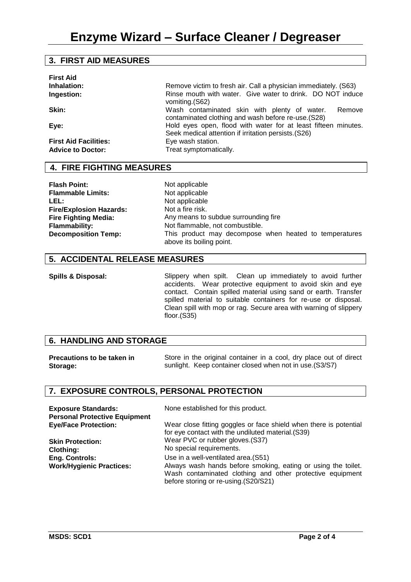#### **3. FIRST AID MEASURES**

| Remove victim to fresh air. Call a physician immediately. (S63)                                                        |
|------------------------------------------------------------------------------------------------------------------------|
| Rinse mouth with water. Give water to drink. DO NOT induce<br>vomiting.(S62)                                           |
| Wash contaminated skin with plenty of water.<br>Remove<br>contaminated clothing and wash before re-use. (S28)          |
| Hold eyes open, flood with water for at least fifteen minutes.<br>Seek medical attention if irritation persists. (S26) |
| Eye wash station.                                                                                                      |
| Treat symptomatically.                                                                                                 |
|                                                                                                                        |

#### **4. FIRE FIGHTING MEASURES**

**Flash Point:** Not applicable<br> **Flammable Limits:** Not applicable **Flammable Limits:** LEL: Not applicable **Fire/Explosion Hazards: Fire Fighting Media:**

Not a fire risk. Any means to subdue surrounding fire **Flammability:** Not flammable, not combustible. **Decomposition Temp:** This product may decompose when heated to temperatures above its boiling point.

#### **5. ACCIDENTAL RELEASE MEASURES**

**Spills & Disposal:** Slippery when spilt. Clean up immediately to avoid further accidents. Wear protective equipment to avoid skin and eye contact. Contain spilled material using sand or earth. Transfer spilled material to suitable containers for re-use or disposal. Clean spill with mop or rag. Secure area with warning of slippery floor.(S35)

#### **6. HANDLING AND STORAGE**

| <b>Precautions to be taken in</b> | Store in the original container in a cool, dry place out of direct |
|-----------------------------------|--------------------------------------------------------------------|
| Storage:                          | sunlight. Keep container closed when not in use. (S3/S7)           |

#### **7. EXPOSURE CONTROLS, PERSONAL PROTECTION**

| <b>Exposure Standards:</b><br><b>Personal Protective Equipment</b> | None established for this product.                                                                                                                                 |
|--------------------------------------------------------------------|--------------------------------------------------------------------------------------------------------------------------------------------------------------------|
| <b>Eye/Face Protection:</b>                                        | Wear close fitting goggles or face shield when there is potential<br>for eye contact with the undiluted material. (S39)                                            |
| <b>Skin Protection:</b>                                            | Wear PVC or rubber gloves. (S37)                                                                                                                                   |
| <b>Clothing:</b>                                                   | No special requirements.                                                                                                                                           |
| <b>Eng. Controls:</b>                                              | Use in a well-ventilated area. (S51)                                                                                                                               |
| <b>Work/Hygienic Practices:</b>                                    | Always wash hands before smoking, eating or using the toilet.<br>Wash contaminated clothing and other protective equipment<br>before storing or re-using.(S20/S21) |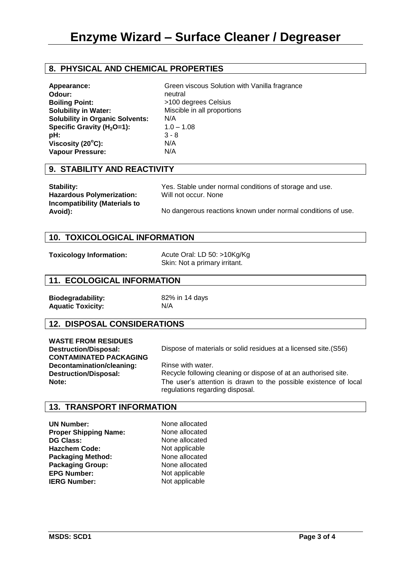#### **8. PHYSICAL AND CHEMICAL PROPERTIES**

| Appearance:                            | Green viscous Solution with Vanilla fragrance |
|----------------------------------------|-----------------------------------------------|
| Odour:                                 | neutral                                       |
| <b>Boiling Point:</b>                  | >100 degrees Celsius                          |
| <b>Solubility in Water:</b>            | Miscible in all proportions                   |
| <b>Solubility in Organic Solvents:</b> | N/A                                           |
| Specific Gravity $(H2O=1)$ :           | $1.0 - 1.08$                                  |
| pH:                                    | $3 - 8$                                       |
| Viscosity $(20^{\circ}C)$ :            | N/A                                           |
| <b>Vapour Pressure:</b>                | N/A                                           |

#### **9. STABILITY AND REACTIVITY**

| Stability:                               | Yes. Stable under normal conditions of storage and use.      |
|------------------------------------------|--------------------------------------------------------------|
| <b>Hazardous Polymerization:</b>         | Will not occur. None                                         |
| Incompatibility (Materials to<br>Avoid): | No dangerous reactions known under normal conditions of use. |

#### **10. TOXICOLOGICAL INFORMATION**

**Toxicology Information:** Acute Oral: LD 50: >10Kg/Kg Skin: Not a primary irritant.

#### **11. ECOLOGICAL INFORMATION**

**Biodegradability:** 82% in 14 days **Aquatic Toxicity:** N/A

#### **12. DISPOSAL CONSIDERATIONS**

**WASTE FROM RESIDUES CONTAMINATED PACKAGING Decontamination/cleaning: Destruction/Disposal:**

**Destruction/Disposal:** Dispose of materials or solid residues at a licensed site.(S56)

Rinse with water. Recycle following cleaning or dispose of at an authorised site. **Note:** The user's attention is drawn to the possible existence of local regulations regarding disposal.

#### **13. TRANSPORT INFORMATION**

**UN Number:** None allocated **Proper Shipping Name:** None allocated **DG Class:** None allocated Hazchem Code: Not applicable **Packaging Method:** None allocated<br> **Packaging Group:** None allocated **Packaging Group: EPG Number:** Not applicable **IERG Number:** Not applicable